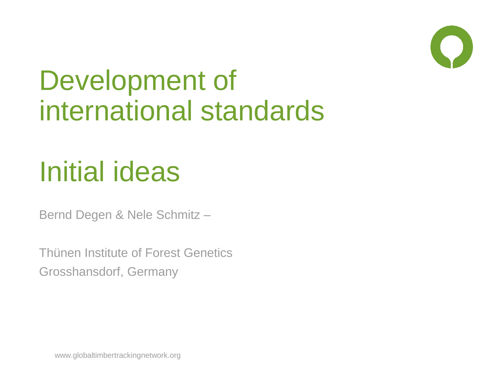

# Development of international standards

# Initial ideas

Bernd Degen & Nele Schmitz –

Thünen Institute of Forest Genetics Grosshansdorf, Germany

www.globaltimbertrackingnetwork.org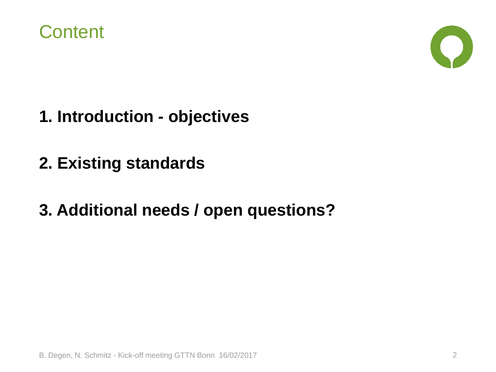



- **1. Introduction - objectives**
- **2. Existing standards**
- **3. Additional needs / open questions?**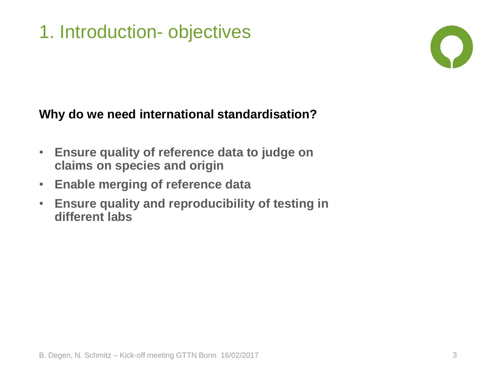### 1. Introduction- objectives



#### **Why do we need international standardisation?**

- **Ensure quality of reference data to judge on claims on species and origin**
- **Enable merging of reference data**
- **Ensure quality and reproducibility of testing in different labs**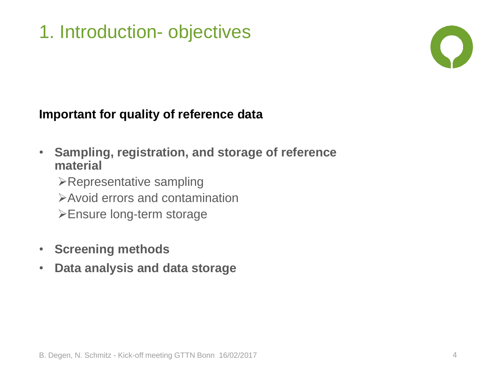### 1. Introduction- objectives



#### **Important for quality of reference data**

- **Sampling, registration, and storage of reference material**
	- $\triangleright$  Representative sampling
	- Avoid errors and contamination
	- Ensure long-term storage
- **Screening methods**
- **Data analysis and data storage**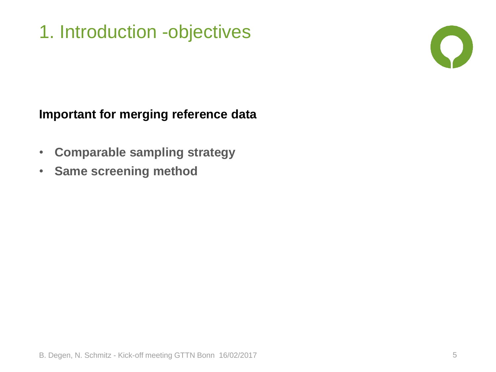### 1. Introduction -objectives



#### **Important for merging reference data**

- **Comparable sampling strategy**
- **Same screening method**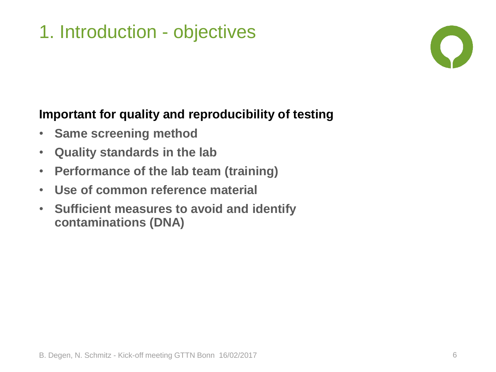### 1. Introduction - objectives



#### **Important for quality and reproducibility of testing**

- **Same screening method**
- **Quality standards in the lab**
- **Performance of the lab team (training)**
- **Use of common reference material**
- **Sufficient measures to avoid and identify contaminations (DNA)**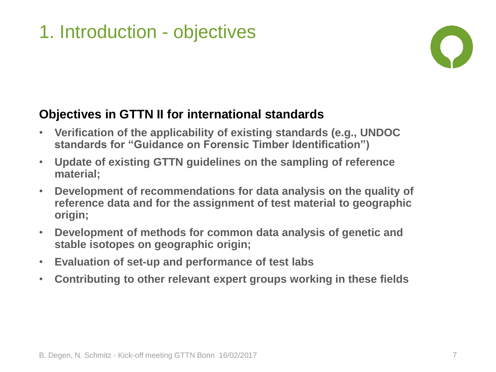### 1. Introduction - objectives



#### **Objectives in GTTN II for international standards**

- **Verification of the applicability of existing standards (e.g., UNDOC standards for "Guidance on Forensic Timber Identification")**
- **Update of existing GTTN guidelines on the sampling of reference material;**
- **Development of recommendations for data analysis on the quality of reference data and for the assignment of test material to geographic origin;**
- **Development of methods for common data analysis of genetic and stable isotopes on geographic origin;**
- **Evaluation of set-up and performance of test labs**
- **Contributing to other relevant expert groups working in these fields**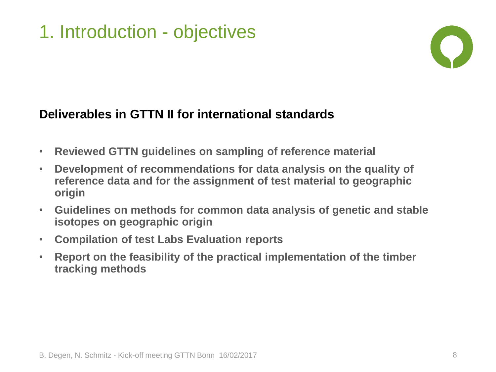### 1. Introduction - objectives



#### **Deliverables in GTTN II for international standards**

- **Reviewed GTTN guidelines on sampling of reference material**
- **Development of recommendations for data analysis on the quality of reference data and for the assignment of test material to geographic origin**
- **Guidelines on methods for common data analysis of genetic and stable isotopes on geographic origin**
- **Compilation of test Labs Evaluation reports**
- **Report on the feasibility of the practical implementation of the timber tracking methods**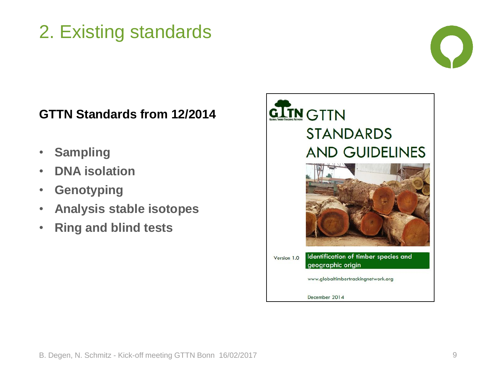### 2. Existing standards



#### **GTTN Standards from 12/2014**

- **Sampling**
- **DNA isolation**
- **Genotyping**
- **Analysis stable isotopes**
- **Ring and blind tests**

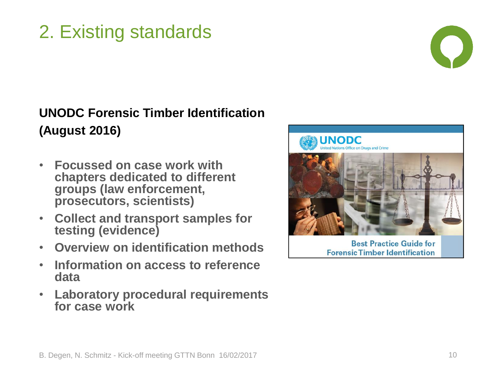## 2. Existing standards



#### **UNODC Forensic Timber Identification (August 2016)**

- **Focussed on case work with chapters dedicated to different groups (law enforcement, prosecutors, scientists)**
- **Collect and transport samples for testing (evidence)**
- **Overview on identification methods**
- **Information on access to reference data**
- **Laboratory procedural requirements for case work**



**Best Practice Guide for Forensic Timber Identification**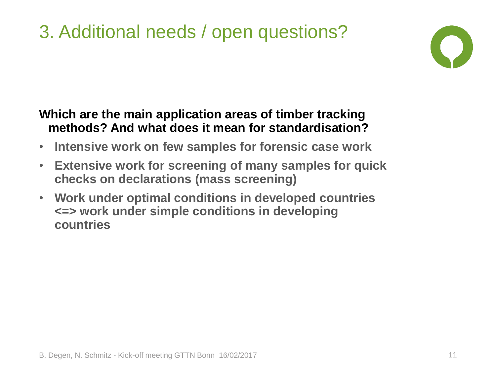## 3. Additional needs / open questions?



#### **Which are the main application areas of timber tracking methods? And what does it mean for standardisation?**

- **Intensive work on few samples for forensic case work**
- **Extensive work for screening of many samples for quick checks on declarations (mass screening)**
- **Work under optimal conditions in developed countries <=> work under simple conditions in developing countries**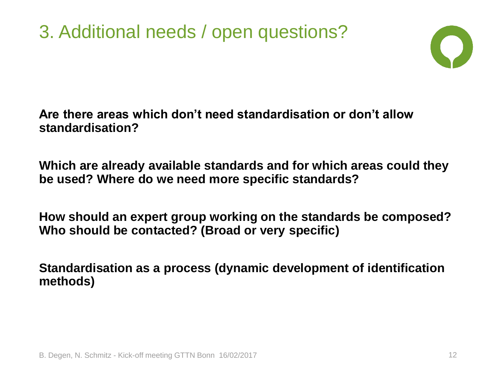3. Additional needs / open questions?



#### **Are there areas which don't need standardisation or don't allow standardisation?**

**Which are already available standards and for which areas could they be used? Where do we need more specific standards?**

**How should an expert group working on the standards be composed? Who should be contacted? (Broad or very specific)**

**Standardisation as a process (dynamic development of identification methods)**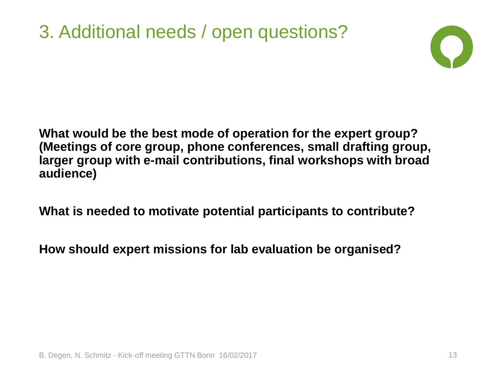#### 3. Additional needs / open questions?



**What would be the best mode of operation for the expert group? (Meetings of core group, phone conferences, small drafting group, larger group with e-mail contributions, final workshops with broad audience)**

**What is needed to motivate potential participants to contribute?**

**How should expert missions for lab evaluation be organised?**